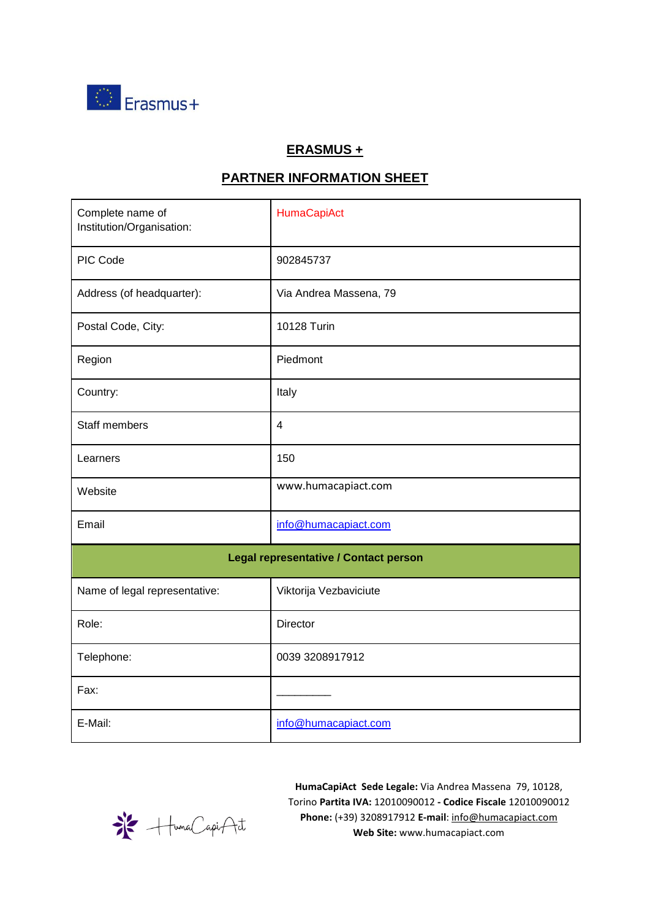

## **ERASMUS +**

## **PARTNER INFORMATION SHEET**

| Complete name of<br>Institution/Organisation: | HumaCapiAct            |  |  |  |
|-----------------------------------------------|------------------------|--|--|--|
| PIC Code                                      | 902845737              |  |  |  |
| Address (of headquarter):                     | Via Andrea Massena, 79 |  |  |  |
| Postal Code, City:                            | 10128 Turin            |  |  |  |
| Region                                        | Piedmont               |  |  |  |
| Country:                                      | Italy                  |  |  |  |
| Staff members                                 | $\overline{4}$         |  |  |  |
| Learners                                      | 150                    |  |  |  |
| Website                                       | www.humacapiact.com    |  |  |  |
| Email                                         | info@humacapiact.com   |  |  |  |
| Legal representative / Contact person         |                        |  |  |  |
| Name of legal representative:                 | Viktorija Vezbaviciute |  |  |  |
| Role:                                         | Director               |  |  |  |
| Telephone:                                    | 0039 3208917912        |  |  |  |
| Fax:                                          |                        |  |  |  |
| E-Mail:                                       | info@humacapiact.com   |  |  |  |

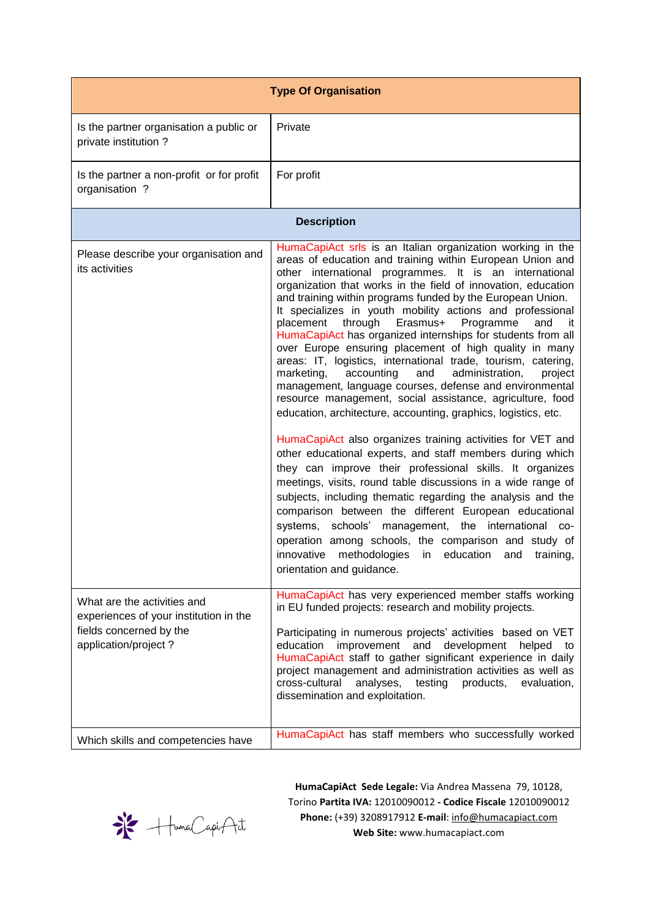| <b>Type Of Organisation</b>                                                                                              |                                                                                                                                                                                                                                                                                                                                                                                                                                                                                                                                                                                                                                                                                                                                                                                                                                                                                                                                                                                                                                                                                                                                                                                                                                                                                                                                                                                                                                                                                           |  |  |  |
|--------------------------------------------------------------------------------------------------------------------------|-------------------------------------------------------------------------------------------------------------------------------------------------------------------------------------------------------------------------------------------------------------------------------------------------------------------------------------------------------------------------------------------------------------------------------------------------------------------------------------------------------------------------------------------------------------------------------------------------------------------------------------------------------------------------------------------------------------------------------------------------------------------------------------------------------------------------------------------------------------------------------------------------------------------------------------------------------------------------------------------------------------------------------------------------------------------------------------------------------------------------------------------------------------------------------------------------------------------------------------------------------------------------------------------------------------------------------------------------------------------------------------------------------------------------------------------------------------------------------------------|--|--|--|
| Is the partner organisation a public or<br>private institution?                                                          | Private                                                                                                                                                                                                                                                                                                                                                                                                                                                                                                                                                                                                                                                                                                                                                                                                                                                                                                                                                                                                                                                                                                                                                                                                                                                                                                                                                                                                                                                                                   |  |  |  |
| Is the partner a non-profit or for profit<br>organisation ?                                                              | For profit                                                                                                                                                                                                                                                                                                                                                                                                                                                                                                                                                                                                                                                                                                                                                                                                                                                                                                                                                                                                                                                                                                                                                                                                                                                                                                                                                                                                                                                                                |  |  |  |
| <b>Description</b>                                                                                                       |                                                                                                                                                                                                                                                                                                                                                                                                                                                                                                                                                                                                                                                                                                                                                                                                                                                                                                                                                                                                                                                                                                                                                                                                                                                                                                                                                                                                                                                                                           |  |  |  |
| Please describe your organisation and<br>its activities                                                                  | HumaCapiAct srls is an Italian organization working in the<br>areas of education and training within European Union and<br>other international programmes. It is an international<br>organization that works in the field of innovation, education<br>and training within programs funded by the European Union.<br>It specializes in youth mobility actions and professional<br>through<br>Erasmus+<br>Programme<br>placement<br>and<br>it.<br>HumaCapiAct has organized internships for students from all<br>over Europe ensuring placement of high quality in many<br>areas: IT, logistics, international trade, tourism, catering,<br>accounting<br>and<br>administration,<br>marketing,<br>project<br>management, language courses, defense and environmental<br>resource management, social assistance, agriculture, food<br>education, architecture, accounting, graphics, logistics, etc.<br>HumaCapiAct also organizes training activities for VET and<br>other educational experts, and staff members during which<br>they can improve their professional skills. It organizes<br>meetings, visits, round table discussions in a wide range of<br>subjects, including thematic regarding the analysis and the<br>comparison between the different European educational<br>systems, schools' management, the international co-<br>operation among schools, the comparison and study of<br>innovative methodologies in education<br>training,<br>and<br>orientation and guidance. |  |  |  |
| What are the activities and<br>experiences of your institution in the<br>fields concerned by the<br>application/project? | HumaCapiAct has very experienced member staffs working<br>in EU funded projects: research and mobility projects.                                                                                                                                                                                                                                                                                                                                                                                                                                                                                                                                                                                                                                                                                                                                                                                                                                                                                                                                                                                                                                                                                                                                                                                                                                                                                                                                                                          |  |  |  |
|                                                                                                                          | Participating in numerous projects' activities based on VET<br>improvement and<br>development<br>education<br>helped<br>to<br>HumaCapiAct staff to gather significant experience in daily<br>project management and administration activities as well as<br>cross-cultural<br>analyses,<br>testing<br>products,<br>evaluation,<br>dissemination and exploitation.                                                                                                                                                                                                                                                                                                                                                                                                                                                                                                                                                                                                                                                                                                                                                                                                                                                                                                                                                                                                                                                                                                                         |  |  |  |
| Which skills and competencies have                                                                                       | HumaCapiAct has staff members who successfully worked                                                                                                                                                                                                                                                                                                                                                                                                                                                                                                                                                                                                                                                                                                                                                                                                                                                                                                                                                                                                                                                                                                                                                                                                                                                                                                                                                                                                                                     |  |  |  |

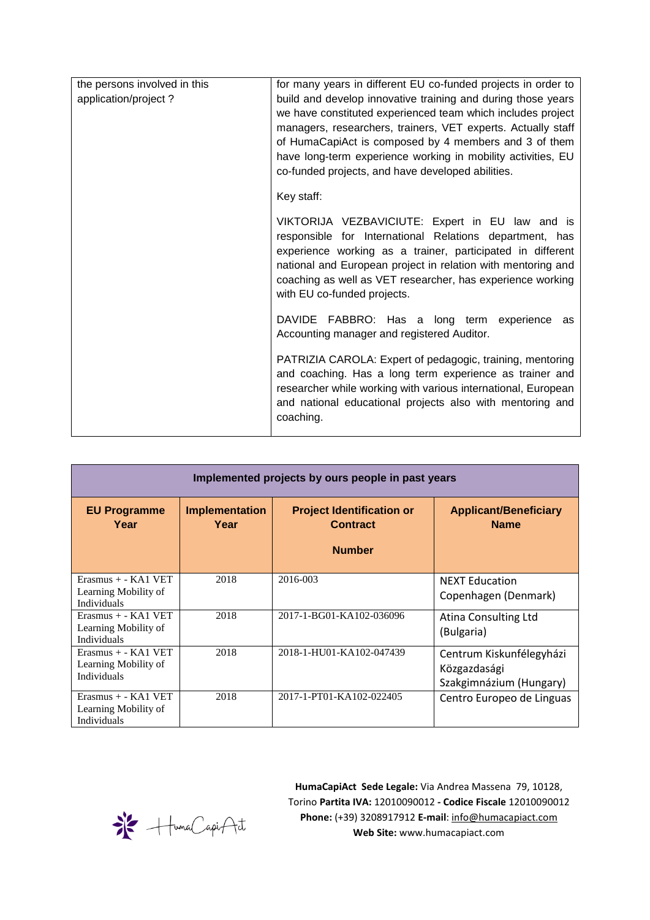| the persons involved in this<br>application/project? | for many years in different EU co-funded projects in order to<br>build and develop innovative training and during those years<br>we have constituted experienced team which includes project<br>managers, researchers, trainers, VET experts. Actually staff<br>of HumaCapiAct is composed by 4 members and 3 of them<br>have long-term experience working in mobility activities, EU<br>co-funded projects, and have developed abilities. |  |
|------------------------------------------------------|--------------------------------------------------------------------------------------------------------------------------------------------------------------------------------------------------------------------------------------------------------------------------------------------------------------------------------------------------------------------------------------------------------------------------------------------|--|
|                                                      | Key staff:                                                                                                                                                                                                                                                                                                                                                                                                                                 |  |
|                                                      | VIKTORIJA VEZBAVICIUTE: Expert in EU law and is<br>responsible for International Relations department, has<br>experience working as a trainer, participated in different<br>national and European project in relation with mentoring and<br>coaching as well as VET researcher, has experience working<br>with EU co-funded projects.                                                                                                      |  |
|                                                      | DAVIDE FABBRO: Has a long term experience as<br>Accounting manager and registered Auditor.                                                                                                                                                                                                                                                                                                                                                 |  |
|                                                      | PATRIZIA CAROLA: Expert of pedagogic, training, mentoring<br>and coaching. Has a long term experience as trainer and<br>researcher while working with various international, European<br>and national educational projects also with mentoring and<br>coaching.                                                                                                                                                                            |  |

| Implemented projects by ours people in past years                   |                               |                                                     |                                                                     |  |  |
|---------------------------------------------------------------------|-------------------------------|-----------------------------------------------------|---------------------------------------------------------------------|--|--|
| <b>EU Programme</b><br>Year                                         | <b>Implementation</b><br>Year | <b>Project Identification or</b><br><b>Contract</b> | <b>Applicant/Beneficiary</b><br><b>Name</b>                         |  |  |
|                                                                     |                               | <b>Number</b>                                       |                                                                     |  |  |
| $Erasmus + - KAI VET$<br>Learning Mobility of<br><b>Individuals</b> | 2018                          | 2016-003                                            | <b>NEXT Education</b><br>Copenhagen (Denmark)                       |  |  |
| $Erasmus + - KAI VET$<br>Learning Mobility of<br><b>Individuals</b> | 2018                          | 2017-1-BG01-KA102-036096                            | Atina Consulting Ltd<br>(Bulgaria)                                  |  |  |
| $Erasmus + - KAI VET$<br>Learning Mobility of<br><b>Individuals</b> | 2018                          | 2018-1-HU01-KA102-047439                            | Centrum Kiskunfélegyházi<br>Közgazdasági<br>Szakgimnázium (Hungary) |  |  |
| $Erasmus + - KAI VET$<br>Learning Mobility of<br>Individuals        | 2018                          | 2017-1-PT01-KA102-022405                            | Centro Europeo de Linguas                                           |  |  |